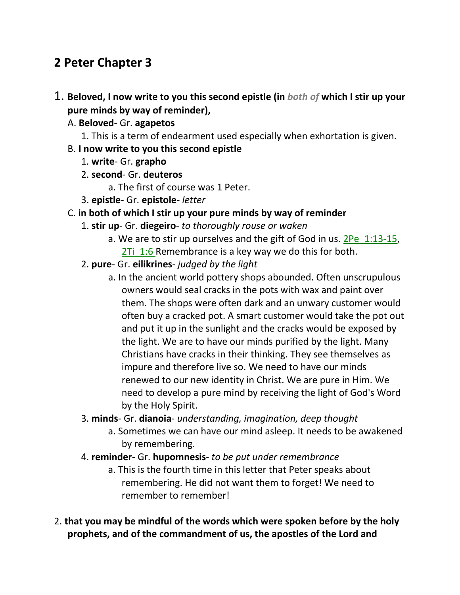# **2 Peter Chapter 3**

- 1. **Beloved, I now write to you this second epistle (in** *both of* **which I stir up your pure minds by way of reminder),** 
	- A. **Beloved** Gr. **agapetos**
		- 1. This is a term of endearment used especially when exhortation is given.
	- B. **I now write to you this second epistle**
		- 1. **write** Gr. **grapho**
		- 2. **second** Gr. **deuteros**
			- a. The first of course was 1 Peter.
		- 3. **epistle** Gr. **epistole** *letter*
	- C. **in both of which I stir up your pure minds by way of reminder**
		- 1. **stir up** Gr. **diegeiro** *to thoroughly rouse or waken*
			- a. We are to stir up ourselves and the gift of God in us. 2Pe 1:13-15, 2Ti 1:6 Remembrance is a key way we do this for both.
		- 2. **pure** Gr. **eilikrines** *judged by the light*
			- a. In the ancient world pottery shops abounded. Often unscrupulous owners would seal cracks in the pots with wax and paint over them. The shops were often dark and an unwary customer would often buy a cracked pot. A smart customer would take the pot out and put it up in the sunlight and the cracks would be exposed by the light. We are to have our minds purified by the light. Many Christians have cracks in their thinking. They see themselves as impure and therefore live so. We need to have our minds renewed to our new identity in Christ. We are pure in Him. We need to develop a pure mind by receiving the light of God's Word by the Holy Spirit.
		- 3. **minds** Gr. **dianoia** *understanding, imagination, deep thought*
			- a. Sometimes we can have our mind asleep. It needs to be awakened by remembering.
		- 4. **reminder** Gr. **hupomnesis** *to be put under remembrance*
			- a. This is the fourth time in this letter that Peter speaks about remembering. He did not want them to forget! We need to remember to remember!
- 2. **that you may be mindful of the words which were spoken before by the holy prophets, and of the commandment of us, the apostles of the Lord and**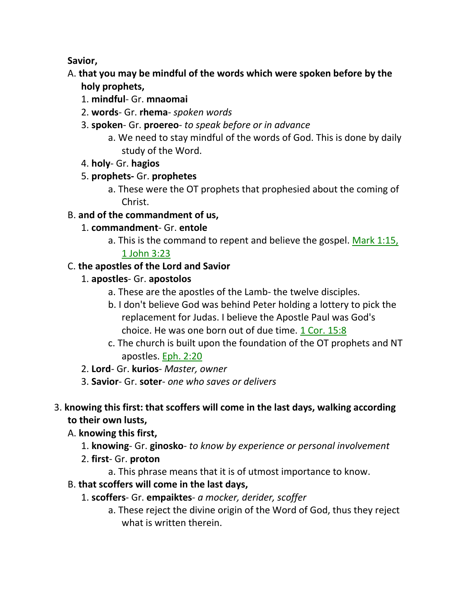**Savior,** 

- A. **that you may be mindful of the words which were spoken before by the holy prophets,**
	- 1. **mindful** Gr. **mnaomai**
	- 2. **words** Gr. **rhema** *spoken words*
	- 3. **spoken** Gr. **proereo** *to speak before or in advance*
		- a. We need to stay mindful of the words of God. This is done by daily study of the Word.
	- 4. **holy** Gr. **hagios**
	- 5. **prophets-** Gr. **prophetes**
		- a. These were the OT prophets that prophesied about the coming of Christ.

## B. **and of the commandment of us,**

- 1. **commandment** Gr. **entole**
	- a. This is the command to repent and believe the gospel. Mark 1:15,

## 1 John 3:23

## C. **the apostles of the Lord and Savior**

- 1. **apostles** Gr. **apostolos**
	- a. These are the apostles of the Lamb- the twelve disciples.
	- b. I don't believe God was behind Peter holding a lottery to pick the replacement for Judas. I believe the Apostle Paul was God's choice. He was one born out of due time. 1 Cor. 15:8
	- c. The church is built upon the foundation of the OT prophets and NT apostles. Eph. 2:20
- 2. **Lord** Gr. **kurios** *Master, owner*
- 3. **Savior** Gr. **soter** *one who saves or delivers*

## 3. **knowing this first: that scoffers will come in the last days, walking according to their own lusts,**

- A. **knowing this first,**
	- 1. **knowing** Gr. **ginosko** *to know by experience or personal involvement*
	- 2. **first** Gr. **proton**
		- a. This phrase means that it is of utmost importance to know.

## B. **that scoffers will come in the last days,**

- 1. **scoffers** Gr. **empaiktes** *a mocker, derider, scoffer*
	- a. These reject the divine origin of the Word of God, thus they reject what is written therein.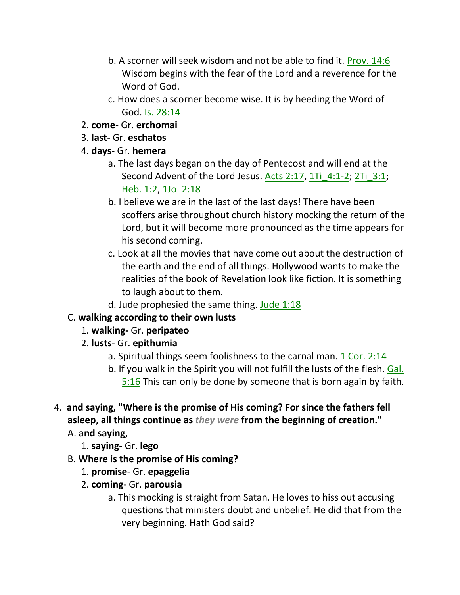- b. A scorner will seek wisdom and not be able to find it. Prov. 14:6 Wisdom begins with the fear of the Lord and a reverence for the Word of God.
- c. How does a scorner become wise. It is by heeding the Word of God. Is. 28:14
- 2. **come** Gr. **erchomai**
- 3. **last-** Gr. **eschatos**
- 4. **days** Gr. **hemera**
	- a. The last days began on the day of Pentecost and will end at the Second Advent of the Lord Jesus. Acts 2:17, 1Ti 4:1-2; 2Ti 3:1; Heb. 1:2, 1Jo\_2:18
	- b. I believe we are in the last of the last days! There have been scoffers arise throughout church history mocking the return of the Lord, but it will become more pronounced as the time appears for his second coming.
	- c. Look at all the movies that have come out about the destruction of the earth and the end of all things. Hollywood wants to make the realities of the book of Revelation look like fiction. It is something to laugh about to them.
	- d. Jude prophesied the same thing. Jude  $1:18$

## C. **walking according to their own lusts**

- 1. **walking-** Gr. **peripateo**
- 2. **lusts** Gr. **epithumia**
	- a. Spiritual things seem foolishness to the carnal man. 1 Cor. 2:14
	- b. If you walk in the Spirit you will not fulfill the lusts of the flesh. Gal. 5:16 This can only be done by someone that is born again by faith.
- 4. **and saying, "Where is the promise of His coming? For since the fathers fell asleep, all things continue as** *they were* **from the beginning of creation."** 
	- A. **and saying,**
		- 1. **saying** Gr. **lego**
	- B. **Where is the promise of His coming?**
		- 1. **promise** Gr. **epaggelia**
		- 2. **coming** Gr. **parousia**
			- a. This mocking is straight from Satan. He loves to hiss out accusing questions that ministers doubt and unbelief. He did that from the very beginning. Hath God said?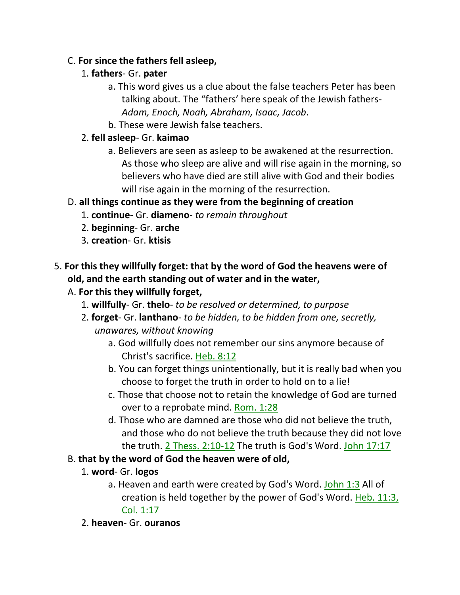#### C. **For since the fathers fell asleep,**

#### 1. **fathers**- Gr. **pater**

- a. This word gives us a clue about the false teachers Peter has been talking about. The "fathers' here speak of the Jewish fathers-*Adam, Enoch, Noah, Abraham, Isaac, Jacob*.
- b. These were Jewish false teachers.

#### 2. **fell asleep**- Gr. **kaimao**

a. Believers are seen as asleep to be awakened at the resurrection. As those who sleep are alive and will rise again in the morning, so believers who have died are still alive with God and their bodies will rise again in the morning of the resurrection.

## D. **all things continue as they were from the beginning of creation**

- 1. **continue** Gr. **diameno** *to remain throughout*
- 2. **beginning** Gr. **arche**
- 3. **creation** Gr. **ktisis**
- 5. **For this they willfully forget: that by the word of God the heavens were of old, and the earth standing out of water and in the water,**

## A. **For this they willfully forget,**

- 1. **willfully** Gr. **thelo** *to be resolved or determined, to purpose*
- 2. **forget** Gr. **lanthano** *to be hidden, to be hidden from one, secretly, unawares, without knowing*
	- a. God willfully does not remember our sins anymore because of Christ's sacrifice. Heb. 8:12
	- b. You can forget things unintentionally, but it is really bad when you choose to forget the truth in order to hold on to a lie!
	- c. Those that choose not to retain the knowledge of God are turned over to a reprobate mind. Rom. 1:28
	- d. Those who are damned are those who did not believe the truth, and those who do not believe the truth because they did not love the truth. 2 Thess. 2:10-12 The truth is God's Word. John 17:17
- B. **that by the word of God the heaven were of old,**
	- 1. **word** Gr. **logos**
		- a. Heaven and earth were created by God's Word. John 1:3 All of creation is held together by the power of God's Word. Heb. 11:3, Col. 1:17
	- 2. **heaven** Gr. **ouranos**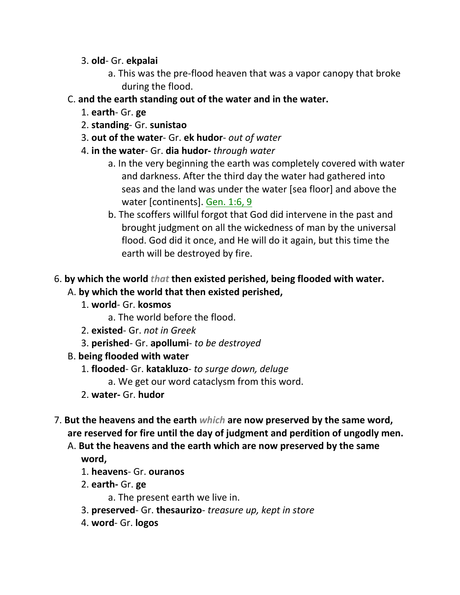- 3. **old** Gr. **ekpalai**
	- a. This was the pre-flood heaven that was a vapor canopy that broke during the flood.
- C. **and the earth standing out of the water and in the water.**
	- 1. **earth** Gr. **ge**
	- 2. **standing** Gr. **sunistao**
	- 3. **out of the water** Gr. **ek hudor** *out of water*
	- 4. **in the water** Gr. **dia hudor-** *through water*
		- a. In the very beginning the earth was completely covered with water and darkness. After the third day the water had gathered into seas and the land was under the water [sea floor] and above the water [continents]. Gen. 1:6, 9
		- b. The scoffers willful forgot that God did intervene in the past and brought judgment on all the wickedness of man by the universal flood. God did it once, and He will do it again, but this time the earth will be destroyed by fire.
- 6. **by which the world** *that* **then existed perished, being flooded with water.** A. **by which the world that then existed perished,**
	- 1. **world** Gr. **kosmos**
		- a. The world before the flood.
	- 2. **existed** Gr. *not in Greek*
	- 3. **perished** Gr. **apollumi** *to be destroyed*
	- B. **being flooded with water**
		- 1. **flooded** Gr. **katakluzo** *to surge down, deluge*
			- a. We get our word cataclysm from this word.
		- 2. **water-** Gr. **hudor**
- 7. **But the heavens and the earth** *which* **are now preserved by the same word, are reserved for fire until the day of judgment and perdition of ungodly men.** 
	- A. **But the heavens and the earth which are now preserved by the same word,**
		- 1. **heavens** Gr. **ouranos**
		- 2. **earth-** Gr. **ge**
			- a. The present earth we live in.
		- 3. **preserved** Gr. **thesaurizo** *treasure up, kept in store*
		- 4. **word** Gr. **logos**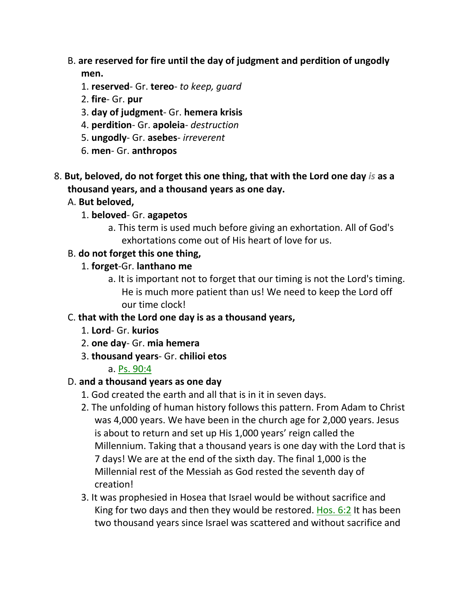- B. **are reserved for fire until the day of judgment and perdition of ungodly men.**
	- 1. **reserved** Gr. **tereo** *to keep, guard*
	- 2. **fire** Gr. **pur**
	- 3. **day of judgment** Gr. **hemera krisis**
	- 4. **perdition** Gr. **apoleia** *destruction*
	- 5. **ungodly** Gr. **asebes** *irreverent*
	- 6. **men** Gr. **anthropos**
- 8. **But, beloved, do not forget this one thing, that with the Lord one day** *is* **as a thousand years, and a thousand years as one day.**
	- A. **But beloved,**
		- 1. **beloved** Gr. **agapetos**
			- a. This term is used much before giving an exhortation. All of God's exhortations come out of His heart of love for us.
	- B. **do not forget this one thing,**
		- 1. **forget**-Gr. **lanthano me**
			- a. It is important not to forget that our timing is not the Lord's timing. He is much more patient than us! We need to keep the Lord off our time clock!
	- C. **that with the Lord one day is as a thousand years,**
		- 1. **Lord** Gr. **kurios**
		- 2. **one day** Gr. **mia hemera**
		- 3. **thousand years** Gr. **chilioi etos**

#### a. Ps. 90:4

#### D. **and a thousand years as one day**

- 1. God created the earth and all that is in it in seven days.
- 2. The unfolding of human history follows this pattern. From Adam to Christ was 4,000 years. We have been in the church age for 2,000 years. Jesus is about to return and set up His 1,000 years' reign called the Millennium. Taking that a thousand years is one day with the Lord that is 7 days! We are at the end of the sixth day. The final 1,000 is the Millennial rest of the Messiah as God rested the seventh day of creation!
- 3. It was prophesied in Hosea that Israel would be without sacrifice and King for two days and then they would be restored. Hos. 6:2 It has been two thousand years since Israel was scattered and without sacrifice and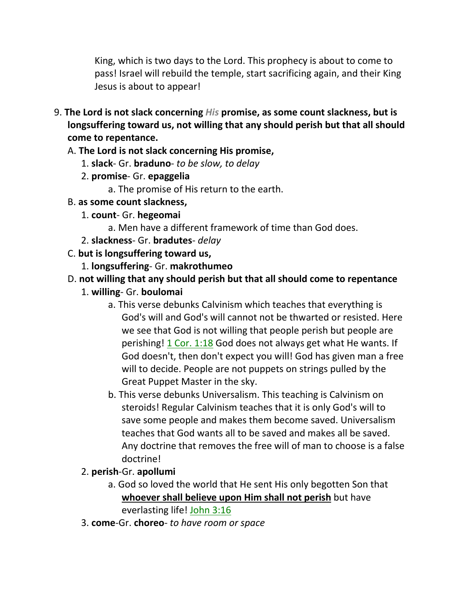King, which is two days to the Lord. This prophecy is about to come to pass! Israel will rebuild the temple, start sacrificing again, and their King Jesus is about to appear!

9. **The Lord is not slack concerning** *His* **promise, as some count slackness, but is longsuffering toward us, not willing that any should perish but that all should come to repentance.**

#### A. **The Lord is not slack concerning His promise,**

- 1. **slack** Gr. **braduno** *to be slow, to delay*
- 2. **promise** Gr. **epaggelia**
	- a. The promise of His return to the earth.
- B. **as some count slackness,**
	- 1. **count** Gr. **hegeomai**
		- a. Men have a different framework of time than God does.
	- 2. **slackness** Gr. **bradutes** *delay*
- C. **but is longsuffering toward us,**
	- 1. **longsuffering** Gr. **makrothumeo**

## D. **not willing that any should perish but that all should come to repentance**

- 1. **willing** Gr. **boulomai**
	- a. This verse debunks Calvinism which teaches that everything is God's will and God's will cannot not be thwarted or resisted. Here we see that God is not willing that people perish but people are perishing! 1 Cor. 1:18 God does not always get what He wants. If God doesn't, then don't expect you will! God has given man a free will to decide. People are not puppets on strings pulled by the Great Puppet Master in the sky.
	- b. This verse debunks Universalism. This teaching is Calvinism on steroids! Regular Calvinism teaches that it is only God's will to save some people and makes them become saved. Universalism teaches that God wants all to be saved and makes all be saved. Any doctrine that removes the free will of man to choose is a false doctrine!
- 2. **perish**-Gr. **apollumi**
	- a. God so loved the world that He sent His only begotten Son that **whoever shall believe upon Him shall not perish** but have everlasting life! John 3:16
- 3. **come**-Gr. **choreo** *to have room or space*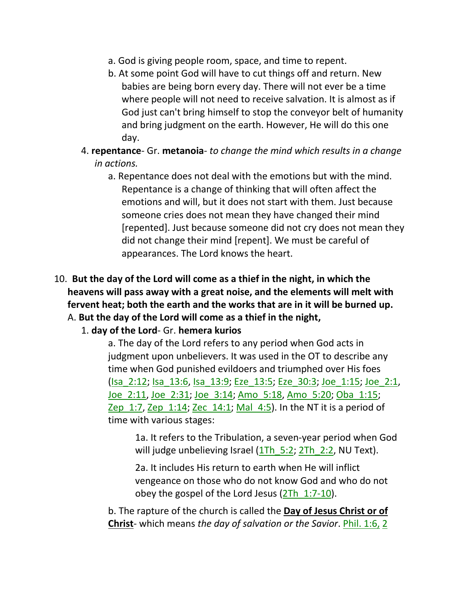- a. God is giving people room, space, and time to repent.
- b. At some point God will have to cut things off and return. New babies are being born every day. There will not ever be a time where people will not need to receive salvation. It is almost as if God just can't bring himself to stop the conveyor belt of humanity and bring judgment on the earth. However, He will do this one day.
- 4. **repentance** Gr. **metanoia** *to change the mind which results in a change in actions.*
	- a. Repentance does not deal with the emotions but with the mind. Repentance is a change of thinking that will often affect the emotions and will, but it does not start with them. Just because someone cries does not mean they have changed their mind [repented]. Just because someone did not cry does not mean they did not change their mind [repent]. We must be careful of appearances. The Lord knows the heart.
- 10. **But the day of the Lord will come as a thief in the night, in which the heavens will pass away with a great noise, and the elements will melt with fervent heat; both the earth and the works that are in it will be burned up.**  A. **But the day of the Lord will come as a thief in the night,**
	- 1. **day of the Lord** Gr. **hemera kurios**

a. The day of the Lord refers to any period when God acts in judgment upon unbelievers. It was used in the OT to describe any time when God punished evildoers and triumphed over His foes (Isa\_2:12; Isa\_13:6, Isa\_13:9; Eze\_13:5; Eze\_30:3; Joe\_1:15; Joe\_2:1, Joe\_2:11, Joe\_2:31; Joe\_3:14; Amo\_5:18, Amo\_5:20; Oba\_1:15; Zep  $1:7$ , Zep  $1:14$ ; Zec  $14:1$ ; Mal  $4:5$ ). In the NT it is a period of time with various stages:

1a. It refers to the Tribulation, a seven-year period when God will judge unbelieving Israel (1Th 5:2; 2Th 2:2, NU Text).

2a. It includes His return to earth when He will inflict vengeance on those who do not know God and who do not obey the gospel of the Lord Jesus  $(2Th 1:7-10)$ .

b. The rapture of the church is called the **Day of Jesus Christ or of Christ**- which means *the day of salvation or the Savior*. Phil. 1:6, 2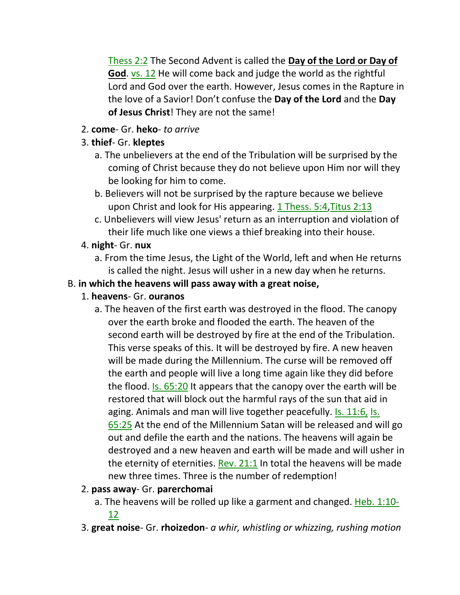Thess 2:2 The Second Advent is called the **Day of the Lord or Day of God**. vs. 12 He will come back and judge the world as the rightful Lord and God over the earth. However, Jesus comes in the Rapture in the love of a Savior! Don't confuse the **Day of the Lord** and the **Day of Jesus Christ**! They are not the same!

- 2. **come** Gr. **heko** *to arrive*
- 3. **thief** Gr. **kleptes**
	- a. The unbelievers at the end of the Tribulation will be surprised by the coming of Christ because they do not believe upon Him nor will they be looking for him to come.
	- b. Believers will not be surprised by the rapture because we believe upon Christ and look for His appearing. 1 Thess. 5:4,Titus 2:13
	- c. Unbelievers will view Jesus' return as an interruption and violation of their life much like one views a thief breaking into their house.

## 4. **night**- Gr. **nux**

a. From the time Jesus, the Light of the World, left and when He returns is called the night. Jesus will usher in a new day when he returns.

## B. **in which the heavens will pass away with a great noise,**

## 1. **heavens**- Gr. **ouranos**

- a. The heaven of the first earth was destroyed in the flood. The canopy over the earth broke and flooded the earth. The heaven of the second earth will be destroyed by fire at the end of the Tribulation. This verse speaks of this. It will be destroyed by fire. A new heaven will be made during the Millennium. The curse will be removed off the earth and people will live a long time again like they did before the flood. Is. 65:20 It appears that the canopy over the earth will be restored that will block out the harmful rays of the sun that aid in aging. Animals and man will live together peacefully. Is. 11:6, Is. 65:25 At the end of the Millennium Satan will be released and will go out and defile the earth and the nations. The heavens will again be destroyed and a new heaven and earth will be made and will usher in the eternity of eternities. Rev.  $21:1$  In total the heavens will be made new three times. Three is the number of redemption!
- 2. **pass away** Gr. **parerchomai**
	- a. The heavens will be rolled up like a garment and changed. Heb. 1:10- 12
- 3. **great noise** Gr. **rhoizedon** *a whir, whistling or whizzing, rushing motion*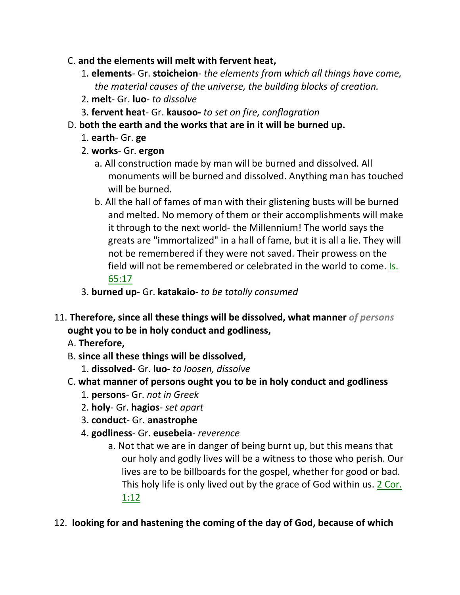- C. **and the elements will melt with fervent heat,**
	- 1. **elements** Gr. **stoicheion** *the elements from which all things have come, the material causes of the universe, the building blocks of creation.*
	- 2. **melt** Gr. **luo** *to dissolve*
	- 3. **fervent heat** Gr. **kausoo-** *to set on fire, conflagration*
- D. **both the earth and the works that are in it will be burned up.**
	- 1. **earth** Gr. **ge**
	- 2. **works** Gr. **ergon**
		- a. All construction made by man will be burned and dissolved. All monuments will be burned and dissolved. Anything man has touched will be burned.
		- b. All the hall of fames of man with their glistening busts will be burned and melted. No memory of them or their accomplishments will make it through to the next world- the Millennium! The world says the greats are "immortalized" in a hall of fame, but it is all a lie. They will not be remembered if they were not saved. Their prowess on the field will not be remembered or celebrated in the world to come. Is. 65:17
	- 3. **burned up** Gr. **katakaio** *to be totally consumed*
- 11. **Therefore, since all these things will be dissolved, what manner** *of persons* **ought you to be in holy conduct and godliness,** 
	- A. **Therefore,**
	- B. **since all these things will be dissolved,**
		- 1. **dissolved** Gr. **luo** *to loosen, dissolve*
	- C. **what manner of persons ought you to be in holy conduct and godliness**
		- 1. **persons** Gr. *not in Greek*
		- 2. **holy** Gr. **hagios** *set apart*
		- 3. **conduct** Gr. **anastrophe**
		- 4. **godliness** Gr. **eusebeia** *reverence*
			- a. Not that we are in danger of being burnt up, but this means that our holy and godly lives will be a witness to those who perish. Our lives are to be billboards for the gospel, whether for good or bad. This holy life is only lived out by the grace of God within us. 2 Cor. 1:12

#### 12. **looking for and hastening the coming of the day of God, because of which**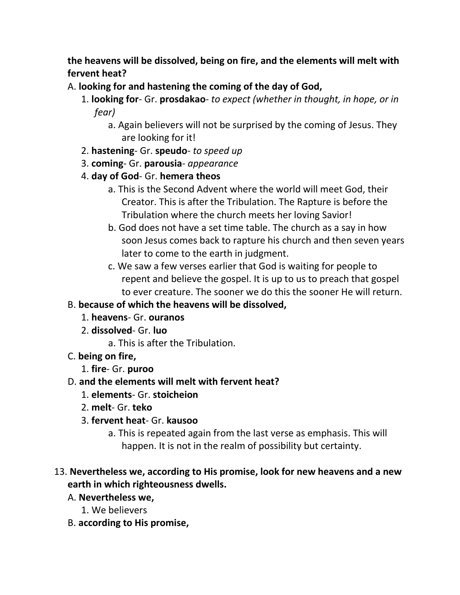**the heavens will be dissolved, being on fire, and the elements will melt with fervent heat?** 

- A. **looking for and hastening the coming of the day of God,**
	- 1. **looking for** Gr. **prosdakao** *to expect (whether in thought, in hope, or in fear)*
		- a. Again believers will not be surprised by the coming of Jesus. They are looking for it!
	- 2. **hastening** Gr. **speudo** *to speed up*
	- 3. **coming** Gr. **parousia** *appearance*
	- 4. **day of God** Gr. **hemera theos**
		- a. This is the Second Advent where the world will meet God, their Creator. This is after the Tribulation. The Rapture is before the Tribulation where the church meets her loving Savior!
		- b. God does not have a set time table. The church as a say in how soon Jesus comes back to rapture his church and then seven years later to come to the earth in judgment.
		- c. We saw a few verses earlier that God is waiting for people to repent and believe the gospel. It is up to us to preach that gospel to ever creature. The sooner we do this the sooner He will return.
- B. **because of which the heavens will be dissolved,**
	- 1. **heavens** Gr. **ouranos**
	- 2. **dissolved** Gr. **luo**
		- a. This is after the Tribulation.
- C. **being on fire,**
	- 1. **fire** Gr. **puroo**
- D. **and the elements will melt with fervent heat?**
	- 1. **elements** Gr. **stoicheion**
	- 2. **melt** Gr. **teko**
	- 3. **fervent heat** Gr. **kausoo**
		- a. This is repeated again from the last verse as emphasis. This will happen. It is not in the realm of possibility but certainty.

## 13. **Nevertheless we, according to His promise, look for new heavens and a new earth in which righteousness dwells.**

- A. **Nevertheless we,**
	- 1. We believers
- B. **according to His promise,**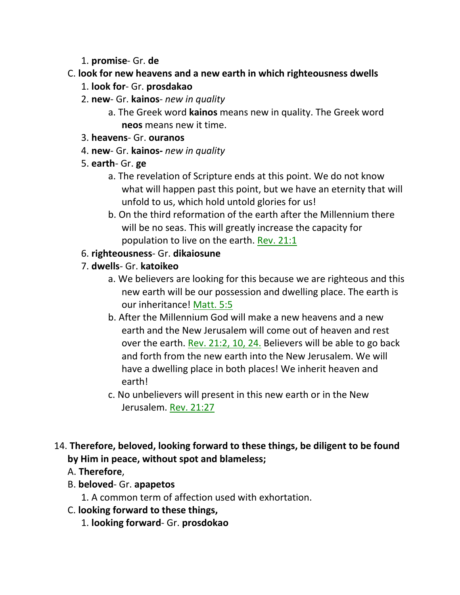1. **promise**- Gr. **de**

#### C. **look for new heavens and a new earth in which righteousness dwells**

- 1. **look for** Gr. **prosdakao**
- 2. **new** Gr. **kainos** *new in quality*
	- a. The Greek word **kainos** means new in quality. The Greek word **neos** means new it time.
- 3. **heavens** Gr. **ouranos**
- 4. **new** Gr. **kainos-** *new in quality*
- 5. **earth** Gr. **ge**
	- a. The revelation of Scripture ends at this point. We do not know what will happen past this point, but we have an eternity that will unfold to us, which hold untold glories for us!
	- b. On the third reformation of the earth after the Millennium there will be no seas. This will greatly increase the capacity for population to live on the earth. Rev. 21:1
- 6. **righteousness** Gr. **dikaiosune**
- 7. **dwells** Gr. **katoikeo**
	- a. We believers are looking for this because we are righteous and this new earth will be our possession and dwelling place. The earth is our inheritance! Matt. 5:5
	- b. After the Millennium God will make a new heavens and a new earth and the New Jerusalem will come out of heaven and rest over the earth. Rev. 21:2, 10, 24. Believers will be able to go back and forth from the new earth into the New Jerusalem. We will have a dwelling place in both places! We inherit heaven and earth!
	- c. No unbelievers will present in this new earth or in the New Jerusalem. Rev. 21:27
- 14. **Therefore, beloved, looking forward to these things, be diligent to be found by Him in peace, without spot and blameless;** 
	- A. **Therefore**,
	- B. **beloved** Gr. **apapetos**
		- 1. A common term of affection used with exhortation.
	- C. **looking forward to these things,**
		- 1. **looking forward** Gr. **prosdokao**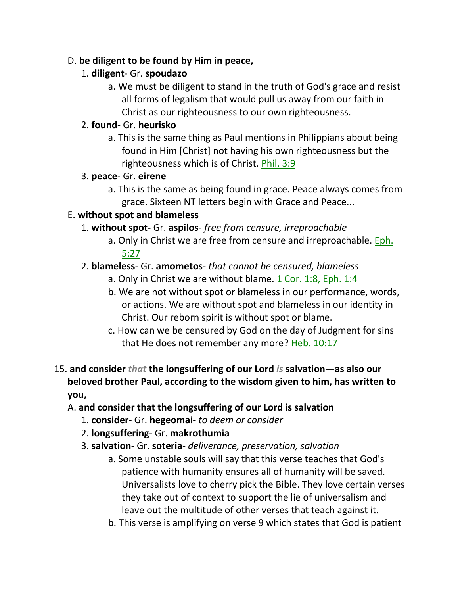#### D. **be diligent to be found by Him in peace,**

## 1. **diligent**- Gr. **spoudazo**

a. We must be diligent to stand in the truth of God's grace and resist all forms of legalism that would pull us away from our faith in Christ as our righteousness to our own righteousness.

## 2. **found**- Gr. **heurisko**

a. This is the same thing as Paul mentions in Philippians about being found in Him [Christ] not having his own righteousness but the righteousness which is of Christ. Phil. 3:9

## 3. **peace**- Gr. **eirene**

a. This is the same as being found in grace. Peace always comes from grace. Sixteen NT letters begin with Grace and Peace...

## E. **without spot and blameless**

- 1. **without spot-** Gr. **aspilos** *free from censure, irreproachable*
	- a. Only in Christ we are free from censure and irreproachable. Eph. 5:27

## 2. **blameless**- Gr. **amometos**- *that cannot be censured, blameless*

- a. Only in Christ we are without blame. 1 Cor. 1:8, Eph. 1:4
- b. We are not without spot or blameless in our performance, words, or actions. We are without spot and blameless in our identity in Christ. Our reborn spirit is without spot or blame.
- c. How can we be censured by God on the day of Judgment for sins that He does not remember any more? Heb. 10:17

#### 15. **and consider** *that* **the longsuffering of our Lord** *is* **salvation—as also our beloved brother Paul, according to the wisdom given to him, has written to you,**

## A. **and consider that the longsuffering of our Lord is salvation**

- 1. **consider** Gr. **hegeomai** *to deem or consider*
- 2. **longsuffering** Gr. **makrothumia**
- 3. **salvation** Gr. **soteria** *deliverance, preservation, salvation*
	- a. Some unstable souls will say that this verse teaches that God's patience with humanity ensures all of humanity will be saved. Universalists love to cherry pick the Bible. They love certain verses they take out of context to support the lie of universalism and leave out the multitude of other verses that teach against it.
	- b. This verse is amplifying on verse 9 which states that God is patient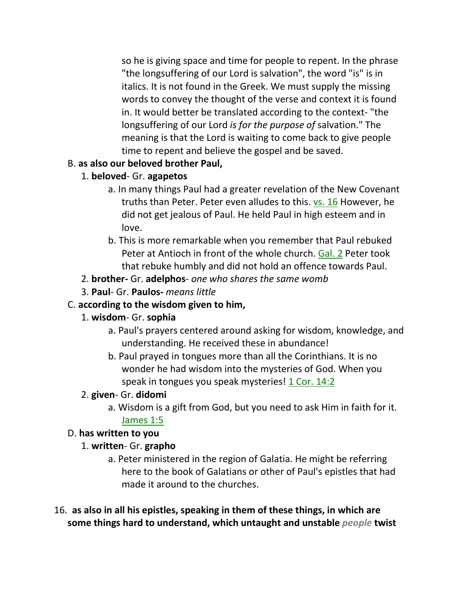so he is giving space and time for people to repent. In the phrase "the longsuffering of our Lord is salvation", the word "is" is in italics. It is not found in the Greek. We must supply the missing words to convey the thought of the verse and context it is found in. It would better be translated according to the context- "the longsuffering of our Lord *is for the purpose of* salvation." The meaning is that the Lord is waiting to come back to give people time to repent and believe the gospel and be saved.

## B. **as also our beloved brother Paul,**

- 1. **beloved** Gr. **agapetos**
	- a. In many things Paul had a greater revelation of the New Covenant truths than Peter. Peter even alludes to this. vs. 16 However, he did not get jealous of Paul. He held Paul in high esteem and in love.
	- b. This is more remarkable when you remember that Paul rebuked Peter at Antioch in front of the whole church. Gal. 2 Peter took that rebuke humbly and did not hold an offence towards Paul.
- 2. **brother-** Gr. **adelphos** *one who shares the same womb*
- 3. **Paul** Gr. **Paulos-** *means little*

## C. **according to the wisdom given to him,**

- 1. **wisdom** Gr. **sophia**
	- a. Paul's prayers centered around asking for wisdom, knowledge, and understanding. He received these in abundance!
	- b. Paul prayed in tongues more than all the Corinthians. It is no wonder he had wisdom into the mysteries of God. When you speak in tongues you speak mysteries! 1 Cor. 14:2

#### 2. **given**- Gr. **didomi**

a. Wisdom is a gift from God, but you need to ask Him in faith for it.

#### James 1:5

## D. **has written to you**

#### 1. **written**- Gr. **grapho**

- a. Peter ministered in the region of Galatia. He might be referring here to the book of Galatians or other of Paul's epistles that had made it around to the churches.
- 16. **as also in all his epistles, speaking in them of these things, in which are some things hard to understand, which untaught and unstable** *people* **twist**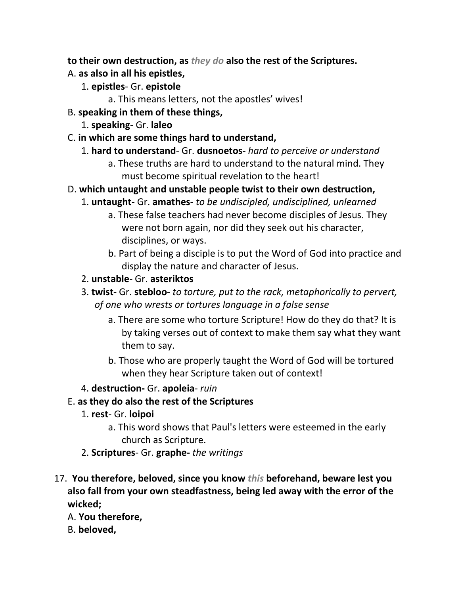**to their own destruction, as** *they do* **also the rest of the Scriptures.** 

- A. **as also in all his epistles,**
	- 1. **epistles** Gr. **epistole**
		- a. This means letters, not the apostles' wives!
- B. **speaking in them of these things,**
	- 1. **speaking** Gr. **laleo**
- C. **in which are some things hard to understand,**
	- 1. **hard to understand** Gr. **dusnoetos-** *hard to perceive or understand*
		- a. These truths are hard to understand to the natural mind. They must become spiritual revelation to the heart!
- D. **which untaught and unstable people twist to their own destruction,**
	- 1. **untaught** Gr. **amathes** *to be undiscipled, undisciplined, unlearned*
		- a. These false teachers had never become disciples of Jesus. They were not born again, nor did they seek out his character, disciplines, or ways.
		- b. Part of being a disciple is to put the Word of God into practice and display the nature and character of Jesus.
	- 2. **unstable** Gr. **asteriktos**
	- 3. **twist-** Gr. **stebloo** *to torture, put to the rack, metaphorically to pervert, of one who wrests or tortures language in a false sense*
		- a. There are some who torture Scripture! How do they do that? It is by taking verses out of context to make them say what they want them to say.
		- b. Those who are properly taught the Word of God will be tortured when they hear Scripture taken out of context!
	- 4. **destruction-** Gr. **apoleia** *ruin*
- E. **as they do also the rest of the Scriptures**
	- 1. **rest** Gr. **loipoi**
		- a. This word shows that Paul's letters were esteemed in the early church as Scripture.
	- 2. **Scriptures** Gr. **graphe-** *the writings*
- 17. **You therefore, beloved, since you know** *this* **beforehand, beware lest you also fall from your own steadfastness, being led away with the error of the wicked;** 
	- A. **You therefore,**
	- B. **beloved,**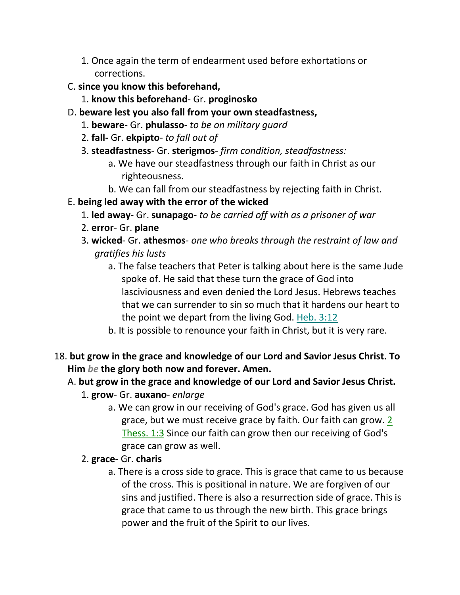- 1. Once again the term of endearment used before exhortations or corrections.
- C. **since you know this beforehand,**
	- 1. **know this beforehand** Gr. **proginosko**
- D. **beware lest you also fall from your own steadfastness,**
	- 1. **beware** Gr. **phulasso** *to be on military guard*
	- 2. **fall-** Gr. **ekpipto** *to fall out of*
	- 3. **steadfastness** Gr. **sterigmos** *firm condition, steadfastness:*
		- a. We have our steadfastness through our faith in Christ as our righteousness.
		- b. We can fall from our steadfastness by rejecting faith in Christ.
- E. **being led away with the error of the wicked**
	- 1. **led away** Gr. **sunapago** *to be carried off with as a prisoner of war*
	- 2. **error** Gr. **plane**
	- 3. **wicked** Gr. **athesmos** *one who breaks through the restraint of law and gratifies his lusts*
		- a. The false teachers that Peter is talking about here is the same Jude spoke of. He said that these turn the grace of God into lasciviousness and even denied the Lord Jesus. Hebrews teaches that we can surrender to sin so much that it hardens our heart to the point we depart from the living God. Heb. 3:12
		- b. It is possible to renounce your faith in Christ, but it is very rare.
- 18. **but grow in the grace and knowledge of our Lord and Savior Jesus Christ. To Him** *be* **the glory both now and forever. Amen.**

#### A. **but grow in the grace and knowledge of our Lord and Savior Jesus Christ.**

- 1. **grow** Gr. **auxano** *enlarge*
	- a. We can grow in our receiving of God's grace. God has given us all grace, but we must receive grace by faith. Our faith can grow. 2 Thess. 1:3 Since our faith can grow then our receiving of God's grace can grow as well.
- 2. **grace** Gr. **charis**
	- a. There is a cross side to grace. This is grace that came to us because of the cross. This is positional in nature. We are forgiven of our sins and justified. There is also a resurrection side of grace. This is grace that came to us through the new birth. This grace brings power and the fruit of the Spirit to our lives.